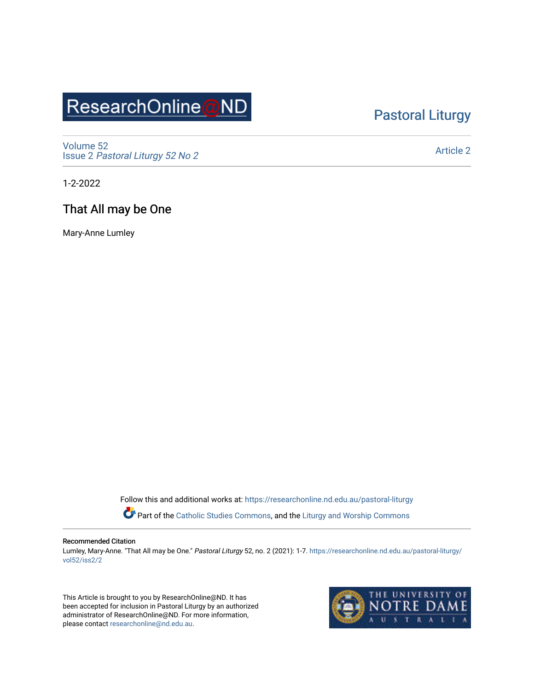# ResearchOnline@ND

## [Pastoral Liturgy](https://researchonline.nd.edu.au/pastoral-liturgy)

[Volume 52](https://researchonline.nd.edu.au/pastoral-liturgy/vol52) Issue 2 [Pastoral Liturgy 52 No 2](https://researchonline.nd.edu.au/pastoral-liturgy/vol52/iss2)

[Article 2](https://researchonline.nd.edu.au/pastoral-liturgy/vol52/iss2/2) 

1-2-2022

## That All may be One

Mary-Anne Lumley

Follow this and additional works at: [https://researchonline.nd.edu.au/pastoral-liturgy](https://researchonline.nd.edu.au/pastoral-liturgy?utm_source=researchonline.nd.edu.au%2Fpastoral-liturgy%2Fvol52%2Fiss2%2F2&utm_medium=PDF&utm_campaign=PDFCoverPages)

Part of the [Catholic Studies Commons,](http://network.bepress.com/hgg/discipline/1294?utm_source=researchonline.nd.edu.au%2Fpastoral-liturgy%2Fvol52%2Fiss2%2F2&utm_medium=PDF&utm_campaign=PDFCoverPages) and the [Liturgy and Worship Commons](http://network.bepress.com/hgg/discipline/1188?utm_source=researchonline.nd.edu.au%2Fpastoral-liturgy%2Fvol52%2Fiss2%2F2&utm_medium=PDF&utm_campaign=PDFCoverPages) 

#### Recommended Citation

Lumley, Mary-Anne. "That All may be One." Pastoral Liturgy 52, no. 2 (2021): 1-7. [https://researchonline.nd.edu.au/pastoral-liturgy/](https://researchonline.nd.edu.au/pastoral-liturgy/vol52/iss2/2?utm_source=researchonline.nd.edu.au%2Fpastoral-liturgy%2Fvol52%2Fiss2%2F2&utm_medium=PDF&utm_campaign=PDFCoverPages) [vol52/iss2/2](https://researchonline.nd.edu.au/pastoral-liturgy/vol52/iss2/2?utm_source=researchonline.nd.edu.au%2Fpastoral-liturgy%2Fvol52%2Fiss2%2F2&utm_medium=PDF&utm_campaign=PDFCoverPages)

This Article is brought to you by ResearchOnline@ND. It has been accepted for inclusion in Pastoral Liturgy by an authorized administrator of ResearchOnline@ND. For more information, please contact [researchonline@nd.edu.au.](mailto:researchonline@nd.edu.au)

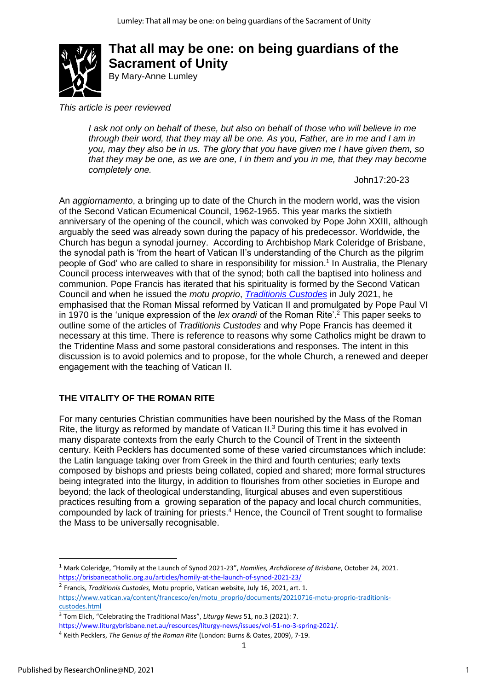

## **That all may be one: on being guardians of the Sacrament of Unity** By Mary-Anne Lumley

*This article is peer reviewed*

*I ask not only on behalf of these, but also on behalf of those who will believe in me through their word, that they may all be one. As you, Father, are in me and I am in you, may they also be in us. The glory that you have given me I have given them, so that they may be one, as we are one, I in them and you in me, that they may become completely one.*

John17:20-23

An *aggiornamento*, a bringing up to date of the Church in the modern world, was the vision of the Second Vatican Ecumenical Council, 1962-1965. This year marks the sixtieth anniversary of the opening of the council, which was convoked by Pope John XXIII, although arguably the seed was already sown during the papacy of his predecessor. Worldwide, the Church has begun a synodal journey. According to Archbishop Mark Coleridge of Brisbane, the synodal path is 'from the heart of Vatican II's understanding of the Church as the pilgrim people of God' who are called to share in responsibility for mission. 1 In Australia, the Plenary Council process interweaves with that of the synod; both call the baptised into holiness and communion. Pope Francis has iterated that his spirituality is formed by the Second Vatican Council and when he issued the *motu proprio*, *[Traditionis Custodes](https://www.vatican.va/content/francesco/en/motu_proprio/documents/20210716-motu-proprio-traditionis-custodes.html)* in July 2021, he emphasised that the Roman Missal reformed by Vatican II and promulgated by Pope Paul VI in 1970 is the 'unique expression of the *lex orandi* of the Roman Rite'. <sup>2</sup> This paper seeks to outline some of the articles of *Traditionis Custodes* and why Pope Francis has deemed it necessary at this time. There is reference to reasons why some Catholics might be drawn to the Tridentine Mass and some pastoral considerations and responses. The intent in this discussion is to avoid polemics and to propose, for the whole Church, a renewed and deeper engagement with the teaching of Vatican II.

### **THE VITALITY OF THE ROMAN RITE**

For many centuries Christian communities have been nourished by the Mass of the Roman Rite, the liturgy as reformed by mandate of Vatican II.<sup>3</sup> During this time it has evolved in many disparate contexts from the early Church to the Council of Trent in the sixteenth century. Keith Pecklers has documented some of these varied circumstances which include: the Latin language taking over from Greek in the third and fourth centuries; early texts composed by bishops and priests being collated, copied and shared; more formal structures being integrated into the liturgy, in addition to flourishes from other societies in Europe and beyond; the lack of theological understanding, liturgical abuses and even superstitious practices resulting from a growing separation of the papacy and local church communities, compounded by lack of training for priests. <sup>4</sup> Hence, the Council of Trent sought to formalise the Mass to be universally recognisable.

- 2 Francis, *Traditionis Custodes,* Motu proprio, Vatican website, July 16, 2021, art. 1. [https://www.vatican.va/content/francesco/en/motu\\_proprio/documents/20210716-motu-proprio-traditionis](https://www.vatican.va/content/francesco/en/motu_proprio/documents/20210716-motu-proprio-traditionis-custodes.html)[custodes.html](https://www.vatican.va/content/francesco/en/motu_proprio/documents/20210716-motu-proprio-traditionis-custodes.html)
- 3 Tom Elich, "Celebrating the Traditional Mass", *Liturgy News* 51, no.3 (2021): 7.
- [https://www.liturgybrisbane.net.au/resources/liturgy-news/issues/vol-51-no-3-spring-2021/.](https://www.liturgybrisbane.net.au/resources/liturgy-news/issues/vol-51-no-3-spring-2021/)

<sup>1</sup> Mark Coleridge, "Homily at the Launch of Synod 2021-23", *Homilies, Archdiocese of Brisbane*, October 24, 2021. <https://brisbanecatholic.org.au/articles/homily-at-the-launch-of-synod-2021-23/>

<sup>4</sup> Keith Pecklers, *The Genius of the Roman Rite* (London: Burns & Oates, 2009), 7-19.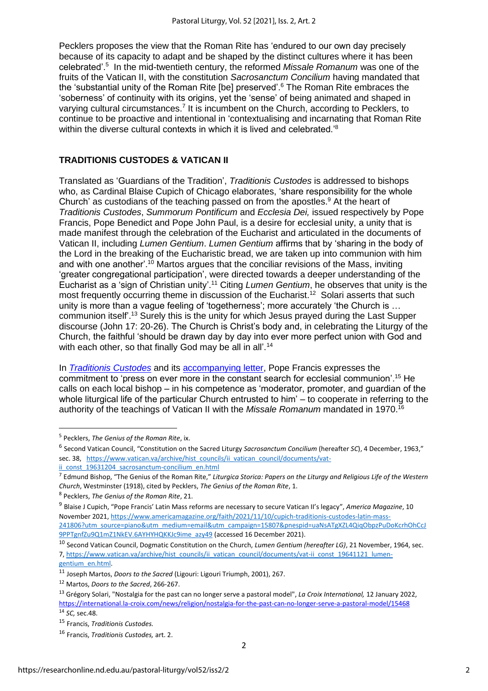Pecklers proposes the view that the Roman Rite has 'endured to our own day precisely because of its capacity to adapt and be shaped by the distinct cultures where it has been celebrated'.<sup>5</sup> In the mid-twentieth century, the reformed *Missale Romanum* was one of the fruits of the Vatican II, with the constitution *Sacrosanctum Concilium* having mandated that the 'substantial unity of the Roman Rite [be] preserved'.<sup>6</sup> The Roman Rite embraces the 'soberness' of continuity with its origins, yet the 'sense' of being animated and shaped in varying cultural circumstances.<sup>7</sup> It is incumbent on the Church, according to Pecklers, to continue to be proactive and intentional in 'contextualising and incarnating that Roman Rite within the diverse cultural contexts in which it is lived and celebrated.<sup>'8</sup>

#### **TRADITIONIS CUSTODES & VATICAN II**

Translated as 'Guardians of the Tradition', *Traditionis Custodes* is addressed to bishops who, as Cardinal Blaise Cupich of Chicago elaborates, 'share responsibility for the whole Church' as custodians of the teaching passed on from the apostles. <sup>9</sup> At the heart of *Traditionis Custodes*, *Summorum Pontificum* and *Ecclesia Dei,* issued respectively by Pope Francis, Pope Benedict and Pope John Paul, is a desire for ecclesial unity, a unity that is made manifest through the celebration of the Eucharist and articulated in the documents of Vatican II, including *Lumen Gentium*. *Lumen Gentium* affirms that by 'sharing in the body of the Lord in the breaking of the Eucharistic bread, we are taken up into communion with him and with one another'.<sup>10</sup> Martos argues that the conciliar revisions of the Mass, inviting 'greater congregational participation', were directed towards a deeper understanding of the Eucharist as a 'sign of Christian unity'.<sup>11</sup> Citing *Lumen Gentium*, he observes that unity is the most frequently occurring theme in discussion of the Eucharist.<sup>12</sup> Solari asserts that such unity is more than a vague feeling of 'togetherness'; more accurately 'the Church is … communion itself'.<sup>13</sup> Surely this is the unity for which Jesus prayed during the Last Supper discourse (John 17: 20-26). The Church is Christ's body and, in celebrating the Liturgy of the Church, the faithful 'should be drawn day by day into ever more perfect union with God and with each other, so that finally God may be all in all'.<sup>14</sup>

In *[Traditionis Custodes](https://www.vatican.va/content/francesco/en/motu_proprio/documents/20210716-motu-proprio-traditionis-custodes.html)* and its [accompanying letter,](https://www.vatican.va/content/francesco/en/letters/2021/documents/20210716-lettera-vescovi-liturgia.html) Pope Francis expresses the commitment to 'press on ever more in the constant search for ecclesial communion'.<sup>15</sup> He calls on each local bishop – in his competence as 'moderator, promoter, and guardian of the whole liturgical life of the particular Church entrusted to him' – to cooperate in referring to the authority of the teachings of Vatican II with the *Missale Romanum* mandated in 1970. 16

[gentium\\_en.html.](https://www.vatican.va/archive/hist_councils/ii_vatican_council/documents/vat-ii_const_19641121_lumen-gentium_en.html)

<sup>5</sup> Pecklers, *The Genius of the Roman Rite*, ix.

<sup>6</sup> Second Vatican Council, "Constitution on the Sacred Liturgy *Sacrosanctum Concilium* (hereafter *SC*), 4 December, 1963," sec. 38, [https://www.vatican.va/archive/hist\\_councils/ii\\_vatican\\_council/documents/vat-](https://www.vatican.va/archive/hist_councils/ii_vatican_council/documents/vat-ii_const_19631204_sacrosanctum-concilium_en.html)

[ii\\_const\\_19631204\\_sacrosanctum-concilium\\_en.html](https://www.vatican.va/archive/hist_councils/ii_vatican_council/documents/vat-ii_const_19631204_sacrosanctum-concilium_en.html)

<sup>7</sup> Edmund Bishop, "The Genius of the Roman Rite," *Liturgica Storica: Papers on the Liturgy and Religious Life of the Western Church*, Westminster (1918), cited by Pecklers, *The Genius of the Roman Rite*, 1.

<sup>8</sup> Pecklers, *The Genius of the Roman Rite*, 21.

<sup>9</sup> Blaise J Cupich, "Pope Francis' Latin Mass reforms are necessary to secure Vatican II's legacy", *America Magazine*, 10 November 2021[, https://www.americamagazine.org/faith/2021/11/10/cupich-traditionis-custodes-latin-mass-](https://www.americamagazine.org/faith/2021/11/10/cupich-traditionis-custodes-latin-mass-241806?utm_source=piano&utm_medium=email&utm_campaign=15807&pnespid=uaNsATgXZL4QiqObpzPuDoKcrhOhCcJ9PPTgnfZu9Q1mZ1NkEV.6AYHYHQKKJc9ime_azy49)[241806?utm\\_source=piano&utm\\_medium=email&utm\\_campaign=15807&pnespid=uaNsATgXZL4QiqObpzPuDoKcrhOhCcJ](https://www.americamagazine.org/faith/2021/11/10/cupich-traditionis-custodes-latin-mass-241806?utm_source=piano&utm_medium=email&utm_campaign=15807&pnespid=uaNsATgXZL4QiqObpzPuDoKcrhOhCcJ9PPTgnfZu9Q1mZ1NkEV.6AYHYHQKKJc9ime_azy49) [9PPTgnfZu9Q1mZ1NkEV.6AYHYHQKKJc9ime\\_azy49](https://www.americamagazine.org/faith/2021/11/10/cupich-traditionis-custodes-latin-mass-241806?utm_source=piano&utm_medium=email&utm_campaign=15807&pnespid=uaNsATgXZL4QiqObpzPuDoKcrhOhCcJ9PPTgnfZu9Q1mZ1NkEV.6AYHYHQKKJc9ime_azy49) (accessed 16 December 2021).

<sup>10</sup> Second Vatican Council, Dogmatic Constitution on the Church, *Lumen Gentium (hereafter LG)*, 21 November, 1964, sec. 7, [https://www.vatican.va/archive/hist\\_councils/ii\\_vatican\\_council/documents/vat-ii\\_const\\_19641121\\_lumen-](https://www.vatican.va/archive/hist_councils/ii_vatican_council/documents/vat-ii_const_19641121_lumen-gentium_en.html)

<sup>11</sup> Joseph Martos, *Doors to the Sacred* (Ligouri: Ligouri Triumph, 2001), 267.

<sup>12</sup> Martos, *Doors to the Sacred*, 266-267.

<sup>13</sup> Grégory Solari, "Nostalgia for the past can no longer serve a pastoral model", *La Croix International,* 12 January 2022, <https://international.la-croix.com/news/religion/nostalgia-for-the-past-can-no-longer-serve-a-pastoral-model/15468>

<sup>14</sup> *SC,* sec.48.

<sup>15</sup> Francis, *Traditionis Custodes.*

<sup>16</sup> Francis, *Traditionis Custodes,* art. 2.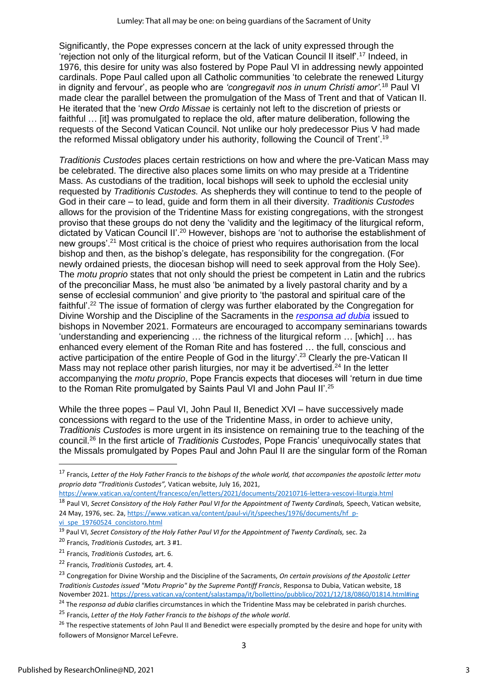Significantly, the Pope expresses concern at the lack of unity expressed through the 'rejection not only of the liturgical reform, but of the Vatican Council II itself'.<sup>17</sup> Indeed, in 1976, this desire for unity was also fostered by Pope Paul VI in addressing newly appointed cardinals. Pope Paul called upon all Catholic communities 'to celebrate the renewed Liturgy in dignity and fervour', as people who are *'congregavit nos in unum Christi amor'.*<sup>18</sup> Paul VI made clear the parallel between the promulgation of the Mass of Trent and that of Vatican II. He iterated that the 'new *Ordo Missae* is certainly not left to the discretion of priests or faithful ... [it] was promulgated to replace the old, after mature deliberation, following the requests of the Second Vatican Council. Not unlike our holy predecessor Pius V had made the reformed Missal obligatory under his authority, following the Council of Trent'.<sup>19</sup>

*Traditionis Custodes* places certain restrictions on how and where the pre-Vatican Mass may be celebrated. The directive also places some limits on who may preside at a Tridentine Mass. As custodians of the tradition, local bishops will seek to uphold the ecclesial unity requested by *Traditionis Custodes.* As shepherds they will continue to tend to the people of God in their care – to lead, guide and form them in all their diversity. *Traditionis Custodes*  allows for the provision of the Tridentine Mass for existing congregations, with the strongest proviso that these groups do not deny the 'validity and the legitimacy of the liturgical reform, dictated by Vatican Council II'.<sup>20</sup> However, bishops are 'not to authorise the establishment of new groups'.<sup>21</sup> Most critical is the choice of priest who requires authorisation from the local bishop and then, as the bishop's delegate, has responsibility for the congregation. (For newly ordained priests, the diocesan bishop will need to seek approval from the Holy See). The *motu proprio* states that not only should the priest be competent in Latin and the rubrics of the preconciliar Mass, he must also 'be animated by a lively pastoral charity and by a sense of ecclesial communion' and give priority to 'the pastoral and spiritual care of the faithful'.<sup>22</sup> The issue of formation of clergy was further elaborated by the Congregation for Divine Worship and the Discipline of the Sacraments in the *[responsa ad](https://www.vatican.va/roman_curia/congregations/ccdds/documents/rc_con_ccdds_doc_20211204_responsa-ad-dubia-tradizionis-custodes_en.html) dubia* issued to bishops in November 2021. Formateurs are encouraged to accompany seminarians towards 'understanding and experiencing … the richness of the liturgical reform … [which] … has enhanced every element of the Roman Rite and has fostered … the full, conscious and active participation of the entire People of God in the liturgy'.<sup>23</sup> Clearly the pre-Vatican II Mass may not replace other parish liturgies, nor may it be advertised.<sup>24</sup> In the letter accompanying the *motu proprio*, Pope Francis expects that dioceses will 'return in due time to the Roman Rite promulgated by Saints Paul VI and John Paul II'.<sup>25</sup>

While the three popes – Paul VI, John Paul II, Benedict XVI – have successively made concessions with regard to the use of the Tridentine Mass, in order to achieve unity, *Traditionis Custodes* is more urgent in its insistence on remaining true to the teaching of the council. <sup>26</sup> In the first article of *Traditionis Custodes*, Pope Francis' unequivocally states that the Missals promulgated by Popes Paul and John Paul II are the singular form of the Roman

<sup>17</sup> Francis, *Letter of the Holy Father Francis to the bishops of the whole world, that accompanies the apostolic letter motu proprio data "Traditionis Custodes",* Vatican website, July 16, 2021,

<https://www.vatican.va/content/francesco/en/letters/2021/documents/20210716-lettera-vescovi-liturgia.html>

<sup>&</sup>lt;sup>18</sup> Paul VI, Secret Consistory of the Holy Father Paul VI for the Appointment of Twenty Cardinals, Speech, Vatican website, 24 May, 1976, sec. 2a, [https://www.vatican.va/content/paul-vi/it/speeches/1976/documents/hf\\_p-](https://www.vatican.va/content/paul-vi/it/speeches/1976/documents/hf_p-vi_spe_19760524_concistoro.html)

[vi\\_spe\\_19760524\\_concistoro.html](https://www.vatican.va/content/paul-vi/it/speeches/1976/documents/hf_p-vi_spe_19760524_concistoro.html)

<sup>19</sup> Paul VI, *Secret Consistory of the Holy Father Paul VI for the Appointment of Twenty Cardinals,* sec. 2a

<sup>20</sup> Francis, *Traditionis Custodes,* art. 3 #1.

<sup>21</sup> Francis, *Traditionis Custodes,* art. 6.

<sup>22</sup> Francis, *Traditionis Custodes,* art. 4.

<sup>23</sup> Congregation for Divine Worship and the Discipline of the Sacraments, *On certain provisions of the Apostolic Letter Traditionis Custodes issued "Motu Proprio" by the Supreme Pontiff Francis*, Responsa to Dubia, Vatican website, 18 November 2021. <https://press.vatican.va/content/salastampa/it/bollettino/pubblico/2021/12/18/0860/01814.html#ing>

<sup>24</sup> The *responsa ad dubia* clarifies circumstances in which the Tridentine Mass may be celebrated in parish churches.

<sup>25</sup> Francis, *Letter of the Holy Father Francis to the bishops of the whole world.*

<sup>&</sup>lt;sup>26</sup> The respective statements of John Paul II and Benedict were especially prompted by the desire and hope for unity with followers of Monsignor Marcel LeFevre.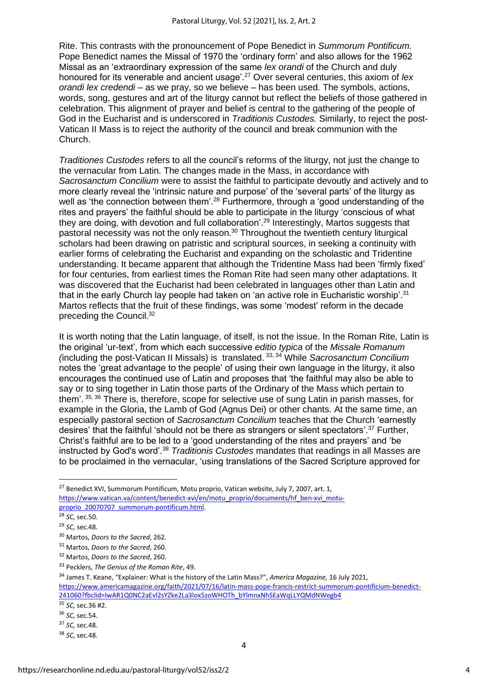Rite. This contrasts with the pronouncement of Pope Benedict in *Summorum Pontificum.*  Pope Benedict names the Missal of 1970 the 'ordinary form' and also allows for the 1962 Missal as an 'extraordinary expression of the same *lex orandi* of the Church and duly honoured for its venerable and ancient usage'.<sup>27</sup> Over several centuries, this axiom of *lex orandi lex credendi* – as we pray, so we believe – has been used. The symbols, actions, words, song, gestures and art of the liturgy cannot but reflect the beliefs of those gathered in celebration. This alignment of prayer and belief is central to the gathering of the people of God in the Eucharist and is underscored in *Traditionis Custodes.* Similarly, to reject the post-Vatican II Mass is to reject the authority of the council and break communion with the Church.

*Traditiones Custodes* refers to all the council's reforms of the liturgy, not just the change to the vernacular from Latin. The changes made in the Mass, in accordance with *Sacrosanctum Concilium* were to assist the faithful to participate devoutly and actively and to more clearly reveal the 'intrinsic nature and purpose' of the 'several parts' of the liturgy as well as 'the connection between them'.<sup>28</sup> Furthermore, through a 'good understanding of the rites and prayers' the faithful should be able to participate in the liturgy 'conscious of what they are doing, with devotion and full collaboration'.<sup>29</sup> Interestingly, Martos suggests that pastoral necessity was not the only reason.<sup>30</sup> Throughout the twentieth century liturgical scholars had been drawing on patristic and scriptural sources, in seeking a continuity with earlier forms of celebrating the Eucharist and expanding on the scholastic and Tridentine understanding. It became apparent that although the Tridentine Mass had been 'firmly fixed' for four centuries, from earliest times the Roman Rite had seen many other adaptations. It was discovered that the Eucharist had been celebrated in languages other than Latin and that in the early Church lay people had taken on 'an active role in Eucharistic worship'.<sup>31</sup> Martos reflects that the fruit of these findings, was some 'modest' reform in the decade preceding the Council.<sup>32</sup>

It is worth noting that the Latin language, of itself, is not the issue. In the Roman Rite, Latin is the original 'ur-text', from which each successive *editio typica* of the *Missale Romanum (*including the post-Vatican II Missals) is translated. 33, 34 While *Sacrosanctum Concilium* notes the 'great advantage to the people' of using their own language in the liturgy, it also encourages the continued use of Latin and proposes that 'the faithful may also be able to say or to sing together in Latin those parts of the Ordinary of the Mass which pertain to them'. <sup>35, 36</sup> There is, therefore, scope for selective use of sung Latin in parish masses, for example in the Gloria, the Lamb of God (Agnus Dei) or other chants. At the same time, an especially pastoral section of *Sacrosanctum Concilium* teaches that the Church 'earnestly desires' that the faithful 'should not be there as strangers or silent spectators'.<sup>37</sup> Further, Christ's faithful are to be led to a 'good understanding of the rites and prayers' and 'be instructed by God's word'.<sup>38</sup> *Traditionis Custodes* mandates that readings in all Masses are to be proclaimed in the vernacular, 'using translations of the Sacred Scripture approved for

<sup>&</sup>lt;sup>27</sup> Benedict XVI, Summorum Pontificum, Motu proprio, Vatican website, July 7, 2007, art. 1, [https://www.vatican.va/content/benedict-xvi/en/motu\\_proprio/documents/hf\\_ben-xvi\\_motu](https://www.vatican.va/content/benedict-xvi/en/motu_proprio/documents/hf_ben-xvi_motu-proprio_20070707_summorum-pontificum.html)[proprio\\_20070707\\_summorum-pontificum.html.](https://www.vatican.va/content/benedict-xvi/en/motu_proprio/documents/hf_ben-xvi_motu-proprio_20070707_summorum-pontificum.html)

<sup>28</sup> *SC,* sec.50.

<sup>29</sup> *SC,* sec.48.

<sup>30</sup> Martos, *Doors to the Sacred*, 262.

<sup>31</sup> Martos, *Doors to the Sacred*, 260.

<sup>32</sup> Martos, *Doors to the Sacred*, 260.

<sup>33</sup> Pecklers, *The Genius of the Roman Rite*, 49.

<sup>34</sup> James T. Keane, "Explainer: What is the history of the Latin Mass?", *America Magazine,* 16 July 2021, [https://www.americamagazine.org/faith/2021/07/16/latin-mass-pope-francis-restrict-summorum-pontificium-benedict-](https://www.americamagazine.org/faith/2021/07/16/latin-mass-pope-francis-restrict-summorum-pontificium-benedict-241060?fbclid=IwAR1Q0NC2aEvl2sYZke2La3lox5zoWHOTh_bYlmnxNhSEaWqLLYQMdNWegb4)[241060?fbclid=IwAR1Q0NC2aEvl2sYZke2La3lox5zoWHOTh\\_bYlmnxNhSEaWqLLYQMdNWegb4](https://www.americamagazine.org/faith/2021/07/16/latin-mass-pope-francis-restrict-summorum-pontificium-benedict-241060?fbclid=IwAR1Q0NC2aEvl2sYZke2La3lox5zoWHOTh_bYlmnxNhSEaWqLLYQMdNWegb4) <sup>35</sup> *SC,* sec.36 #2.

<sup>36</sup> *SC,* sec.54.

<sup>37</sup> *SC,* sec.48.

<sup>38</sup> *SC,* sec.48.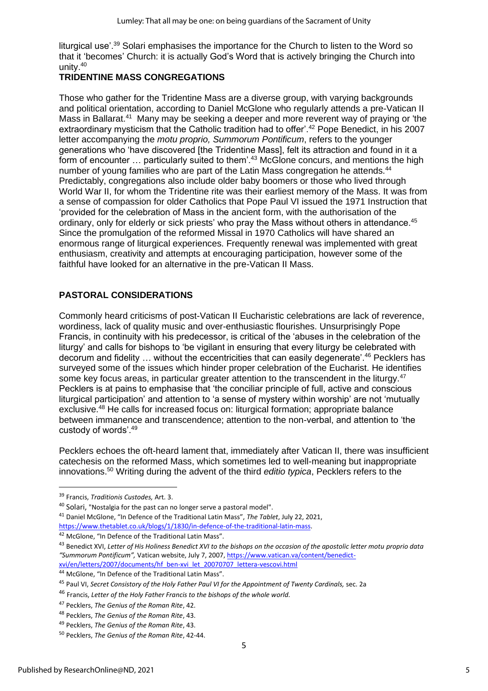liturgical use'.<sup>39</sup> Solari emphasises the importance for the Church to listen to the Word so that it 'becomes' Church: it is actually God's Word that is actively bringing the Church into unity.<sup>40</sup>

#### **TRIDENTINE MASS CONGREGATIONS**

Those who gather for the Tridentine Mass are a diverse group, with varying backgrounds and political orientation, according to Daniel McGlone who regularly attends a pre-Vatican II Mass in Ballarat.<sup>41</sup> Many may be seeking a deeper and more reverent way of praying or 'the extraordinary mysticism that the Catholic tradition had to offer'.<sup>42</sup> Pope Benedict, in his 2007 letter accompanying the *motu proprio, Summorum Pontificum*, refers to the younger generations who 'have discovered [the Tridentine Mass], felt its attraction and found in it a form of encounter ... particularly suited to them'.<sup>43</sup> McGlone concurs, and mentions the high number of young families who are part of the Latin Mass congregation he attends.<sup>44</sup> Predictably, congregations also include older baby boomers or those who lived through World War II, for whom the Tridentine rite was their earliest memory of the Mass. It was from a sense of compassion for older Catholics that Pope Paul VI issued the 1971 Instruction that 'provided for the celebration of Mass in the ancient form, with the authorisation of the ordinary, only for elderly or sick priests' who pray the Mass without others in attendance.<sup>45</sup> Since the promulgation of the reformed Missal in 1970 Catholics will have shared an enormous range of liturgical experiences. Frequently renewal was implemented with great enthusiasm, creativity and attempts at encouraging participation, however some of the faithful have looked for an alternative in the pre-Vatican II Mass.

### **PASTORAL CONSIDERATIONS**

Commonly heard criticisms of post-Vatican II Eucharistic celebrations are lack of reverence, wordiness, lack of quality music and over-enthusiastic flourishes. Unsurprisingly Pope Francis, in continuity with his predecessor, is critical of the 'abuses in the celebration of the liturgy' and calls for bishops to 'be vigilant in ensuring that every liturgy be celebrated with decorum and fidelity … without the eccentricities that can easily degenerate'.<sup>46</sup> Pecklers has surveyed some of the issues which hinder proper celebration of the Eucharist. He identifies some key focus areas, in particular greater attention to the transcendent in the liturgy.<sup>47</sup> Pecklers is at pains to emphasise that 'the conciliar principle of full, active and conscious liturgical participation' and attention to 'a sense of mystery within worship' are not 'mutually exclusive.<sup>48</sup> He calls for increased focus on: liturgical formation; appropriate balance between immanence and transcendence; attention to the non-verbal, and attention to 'the custody of words'.<sup>49</sup>

Pecklers echoes the oft-heard lament that, immediately after Vatican II, there was insufficient catechesis on the reformed Mass, which sometimes led to well-meaning but inappropriate innovations.<sup>50</sup> Writing during the advent of the third *editio typica*, Pecklers refers to the

<sup>39</sup> Francis, *Traditionis Custodes,* Art. 3.

<sup>40</sup> Solari, "Nostalgia for the past can no longer serve a pastoral model".

<sup>41</sup> Daniel McGlone, "In Defence of the Traditional Latin Mass", *The Tablet*, July 22, 2021, [https://www.thetablet.co.uk/blogs/1/1830/in-defence-of-the-traditional-latin-mass.](https://www.thetablet.co.uk/blogs/1/1830/in-defence-of-the-traditional-latin-mass)

<sup>&</sup>lt;sup>42</sup> McGlone, "In Defence of the Traditional Latin Mass".

<sup>43</sup> Benedict XVI, *Letter of His Holiness Benedict XVI to the bishops on the occasion of the apostolic letter motu proprio data "Summorum Pontificum",* Vatican website, July 7, 2007, [https://www.vatican.va/content/benedict](https://www.vatican.va/content/benedict-xvi/en/letters/2007/documents/hf_ben-xvi_let_20070707_lettera-vescovi.html)[xvi/en/letters/2007/documents/hf\\_ben-xvi\\_let\\_20070707\\_lettera-vescovi.html](https://www.vatican.va/content/benedict-xvi/en/letters/2007/documents/hf_ben-xvi_let_20070707_lettera-vescovi.html)

<sup>44</sup> McGlone, "In Defence of the Traditional Latin Mass".

<sup>45</sup> Paul VI, *Secret Consistory of the Holy Father Paul VI for the Appointment of Twenty Cardinals,* sec. 2a

<sup>46</sup> Francis, *Letter of the Holy Father Francis to the bishops of the whole world.*

<sup>47</sup> Pecklers, *The Genius of the Roman Rite*, 42.

<sup>48</sup> Pecklers, *The Genius of the Roman Rite*, 43.

<sup>49</sup> Pecklers, *The Genius of the Roman Rite*, 43.

<sup>50</sup> Pecklers, *The Genius of the Roman Rite*, 42-44.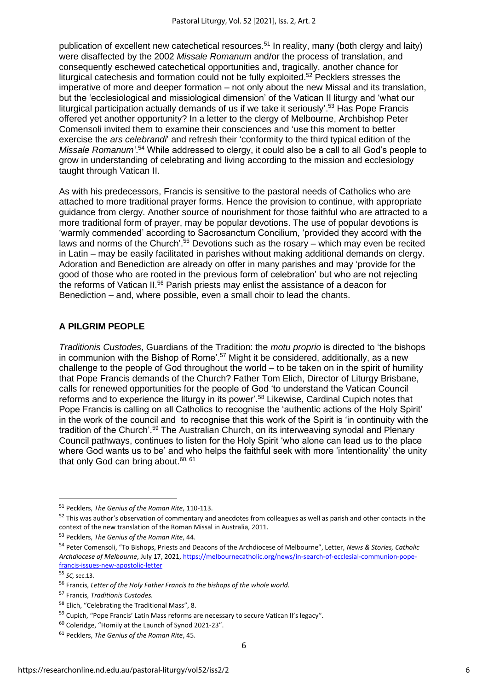publication of excellent new catechetical resources.<sup>51</sup> In reality, many (both clergy and laity) were disaffected by the 2002 *Missale Romanum* and/or the process of translation, and consequently eschewed catechetical opportunities and, tragically, another chance for liturgical catechesis and formation could not be fully exploited.<sup>52</sup> Pecklers stresses the imperative of more and deeper formation – not only about the new Missal and its translation, but the 'ecclesiological and missiological dimension' of the Vatican II liturgy and 'what our liturgical participation actually demands of us if we take it seriously'.<sup>53</sup> Has Pope Francis offered yet another opportunity? In a letter to the clergy of Melbourne, Archbishop Peter Comensoli invited them to examine their consciences and 'use this moment to better exercise the *ars celebrandi*' and refresh their 'conformity to the third typical edition of the *Missale Romanum'*. <sup>54</sup> While addressed to clergy, it could also be a call to all God's people to grow in understanding of celebrating and living according to the mission and ecclesiology taught through Vatican II.

As with his predecessors, Francis is sensitive to the pastoral needs of Catholics who are attached to more traditional prayer forms. Hence the provision to continue, with appropriate guidance from clergy. Another source of nourishment for those faithful who are attracted to a more traditional form of prayer, may be popular devotions. The use of popular devotions is 'warmly commended' according to Sacrosanctum Concilium, 'provided they accord with the laws and norms of the Church<sup>'.55</sup> Devotions such as the rosary – which may even be recited in Latin – may be easily facilitated in parishes without making additional demands on clergy. Adoration and Benediction are already on offer in many parishes and may 'provide for the good of those who are rooted in the previous form of celebration' but who are not rejecting the reforms of Vatican II.<sup>56</sup> Parish priests may enlist the assistance of a deacon for Benediction – and, where possible, even a small choir to lead the chants.

#### **A PILGRIM PEOPLE**

*Traditionis Custodes*, Guardians of the Tradition: the *motu proprio* is directed to 'the bishops in communion with the Bishop of Rome'.<sup>57</sup> Might it be considered, additionally, as a new challenge to the people of God throughout the world – to be taken on in the spirit of humility that Pope Francis demands of the Church? Father Tom Elich, Director of Liturgy Brisbane, calls for renewed opportunities for the people of God 'to understand the Vatican Council reforms and to experience the liturgy in its power'.<sup>58</sup> Likewise, Cardinal Cupich notes that Pope Francis is calling on all Catholics to recognise the 'authentic actions of the Holy Spirit' in the work of the council and to recognise that this work of the Spirit is 'in continuity with the tradition of the Church'.<sup>59</sup> The Australian Church, on its interweaving synodal and Plenary Council pathways, continues to listen for the Holy Spirit 'who alone can lead us to the place where God wants us to be' and who helps the faithful seek with more 'intentionality' the unity that only God can bring about.<sup>60, 61</sup>

<sup>51</sup> Pecklers, *The Genius of the Roman Rite*, 110-113.

<sup>&</sup>lt;sup>52</sup> This was author's observation of commentary and anecdotes from colleagues as well as parish and other contacts in the context of the new translation of the Roman Missal in Australia, 2011.

<sup>53</sup> Pecklers, *The Genius of the Roman Rite*, 44.

<sup>54</sup> Peter Comensoli, "To Bishops, Priests and Deacons of the Archdiocese of Melbourne", Letter, *News & Stories, Catholic Archdiocese of Melbourne*, July 17, 2021[, https://melbournecatholic.org/news/in-search-of-ecclesial-communion-pope](https://melbournecatholic.org/news/in-search-of-ecclesial-communion-pope-francis-issues-new-apostolic-letter)[francis-issues-new-apostolic-letter](https://melbournecatholic.org/news/in-search-of-ecclesial-communion-pope-francis-issues-new-apostolic-letter)

<sup>55</sup> *SC,* sec.13.

<sup>56</sup> Francis, *Letter of the Holy Father Francis to the bishops of the whole world.*

<sup>57</sup> Francis, *Traditionis Custodes.*

<sup>&</sup>lt;sup>58</sup> Elich, "Celebrating the Traditional Mass", 8.

<sup>&</sup>lt;sup>59</sup> Cupich, "Pope Francis' Latin Mass reforms are necessary to secure Vatican II's legacy".

<sup>60</sup> Coleridge, "Homily at the Launch of Synod 2021-23".

<sup>61</sup> Pecklers, *The Genius of the Roman Rite*, 45.